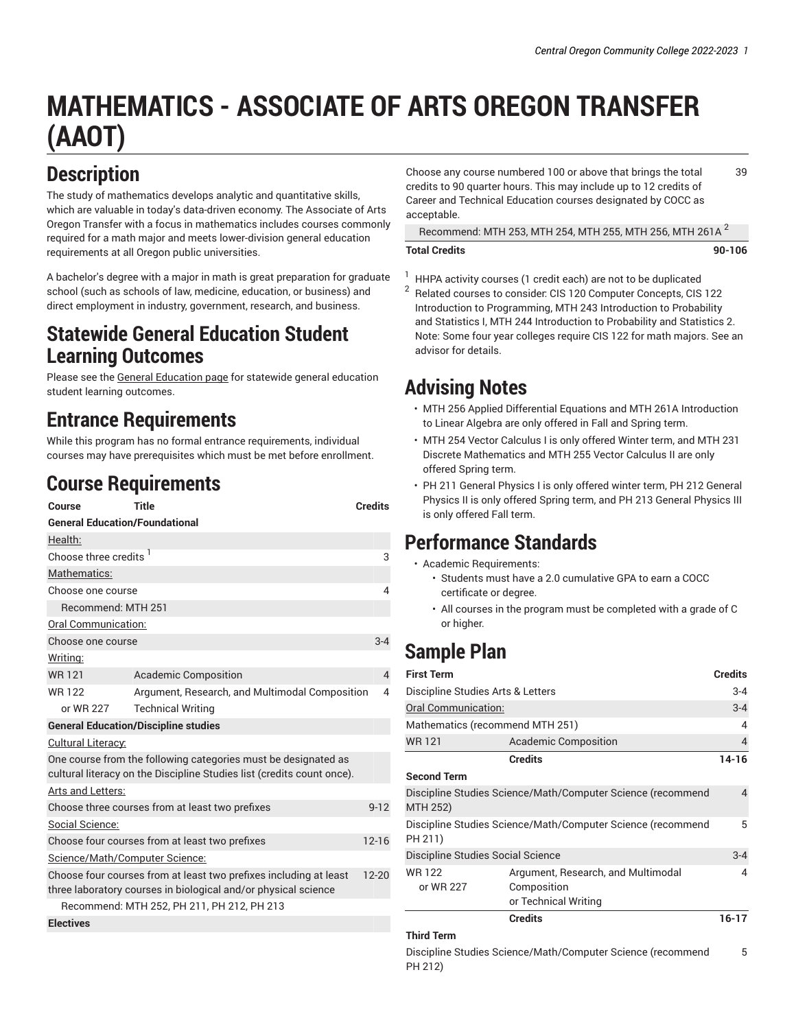# **MATHEMATICS - ASSOCIATE OF ARTS OREGON TRANSFER (AAOT)**

#### **Description**

The study of mathematics develops analytic and quantitative skills, which are valuable in today's data-driven economy. The Associate of Arts Oregon Transfer with a focus in mathematics includes courses commonly required for a math major and meets lower-division general education requirements at all Oregon public universities.

A bachelor's degree with a major in math is great preparation for graduate school (such as schools of law, medicine, education, or business) and direct employment in industry, government, research, and business.

#### **Statewide General Education Student Learning Outcomes**

Please see the General [Education](https://catalog.cocc.edu/degree-certificate-overview/general-education/) page for statewide general education student learning outcomes.

### **Entrance Requirements**

While this program has no formal entrance requirements, individual courses may have prerequisites which must be met before enrollment.

### **Course Requirements**

| Course                                                                                                                                           | <b>Title</b>                                   | <b>Credits</b> |  |  |
|--------------------------------------------------------------------------------------------------------------------------------------------------|------------------------------------------------|----------------|--|--|
| <b>General Education/Foundational</b>                                                                                                            |                                                |                |  |  |
| Health:                                                                                                                                          |                                                |                |  |  |
| Choose three credits <sup>1</sup><br>3                                                                                                           |                                                |                |  |  |
| Mathematics:                                                                                                                                     |                                                |                |  |  |
| Choose one course                                                                                                                                |                                                |                |  |  |
| Recommend: MTH 251                                                                                                                               |                                                |                |  |  |
| Oral Communication:                                                                                                                              |                                                |                |  |  |
| Choose one course                                                                                                                                |                                                | $3 - 4$        |  |  |
| Writing:                                                                                                                                         |                                                |                |  |  |
| <b>WR121</b>                                                                                                                                     | <b>Academic Composition</b>                    | $\overline{4}$ |  |  |
| <b>WR122</b>                                                                                                                                     | Argument, Research, and Multimodal Composition | 4              |  |  |
| or WR 227                                                                                                                                        | <b>Technical Writing</b>                       |                |  |  |
| <b>General Education/Discipline studies</b>                                                                                                      |                                                |                |  |  |
| Cultural Literacy:                                                                                                                               |                                                |                |  |  |
| One course from the following categories must be designated as<br>cultural literacy on the Discipline Studies list (credits count once).         |                                                |                |  |  |
| Arts and Letters:                                                                                                                                |                                                |                |  |  |
| Choose three courses from at least two prefixes                                                                                                  |                                                |                |  |  |
| Social Science:                                                                                                                                  |                                                |                |  |  |
| Choose four courses from at least two prefixes<br>$12 - 16$                                                                                      |                                                |                |  |  |
| Science/Math/Computer Science:                                                                                                                   |                                                |                |  |  |
| Choose four courses from at least two prefixes including at least<br>$12 - 20$<br>three laboratory courses in biological and/or physical science |                                                |                |  |  |
| Recommend: MTH 252, PH 211, PH 212, PH 213                                                                                                       |                                                |                |  |  |
| <b>Electives</b>                                                                                                                                 |                                                |                |  |  |

Choose any course numbered 100 or above that brings the total credits to 90 quarter hours. This may include up to 12 credits of Career and Technical Education courses designated by COCC as acceptable. 39

Recommend: MTH 253, MTH 254, MTH 255, MTH 256, MTH 261A 2

#### **Total Credits 90-106**

- $1$  HHPA activity courses (1 credit each) are not to be duplicated
- 2 Related courses to consider: CIS 120 Computer Concepts, CIS 122 Introduction to Programming, MTH 243 Introduction to Probability and Statistics I, MTH 244 Introduction to Probability and Statistics 2. Note: Some four year colleges require CIS 122 for math majors. See an advisor for details.

### **Advising Notes**

- MTH 256 Applied Differential Equations and MTH 261A Introduction to Linear Algebra are only offered in Fall and Spring term.
- MTH 254 Vector Calculus I is only offered Winter term, and MTH 231 Discrete Mathematics and MTH 255 Vector Calculus II are only offered Spring term.
- PH 211 General Physics I is only offered winter term, PH 212 General Physics II is only offered Spring term, and PH 213 General Physics III is only offered Fall term.

#### **Performance Standards**

- Academic Requirements:
	- Students must have a 2.0 cumulative GPA to earn a COCC certificate or degree.
	- All courses in the program must be completed with a grade of C or higher.

## **Sample Plan**

| <b>First Term</b>                                                      |                                                                           | <b>Credits</b> |
|------------------------------------------------------------------------|---------------------------------------------------------------------------|----------------|
| Discipline Studies Arts & Letters                                      |                                                                           |                |
| Oral Communication:                                                    |                                                                           | $3 - 4$        |
| Mathematics (recommend MTH 251)                                        |                                                                           | 4              |
| <b>WR121</b>                                                           | <b>Academic Composition</b>                                               | 4              |
|                                                                        | <b>Credits</b>                                                            | $14 - 16$      |
| <b>Second Term</b>                                                     |                                                                           |                |
| MTH 252)                                                               | Discipline Studies Science/Math/Computer Science (recommend               | 4              |
| Discipline Studies Science/Math/Computer Science (recommend<br>PH 211) |                                                                           | 5              |
| Discipline Studies Social Science                                      |                                                                           | $3 - 4$        |
| <b>WR122</b><br>or WR 227                                              | Argument, Research, and Multimodal<br>Composition<br>or Technical Writing | 4              |
|                                                                        | <b>Credits</b>                                                            | $16 - 17$      |
| <b>Third Term</b>                                                      |                                                                           |                |

Discipline Studies Science/Math/Computer Science (recommend PH 212) 5